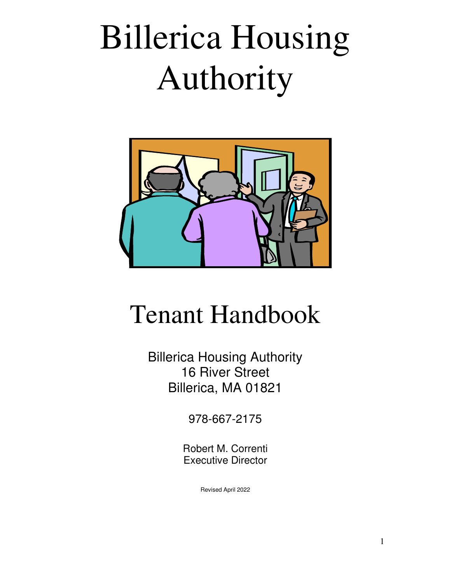# Billerica Housing Authority



## Tenant Handbook

Billerica Housing Authority 16 River Street Billerica, MA 01821

978-667-2175

Robert M. Correnti Executive Director

Revised April 2022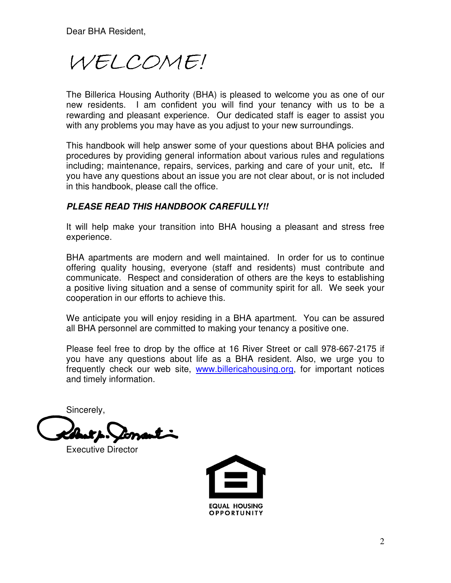Dear BHA Resident,

WELCOME!

The Billerica Housing Authority (BHA) is pleased to welcome you as one of our new residents. I am confident you will find your tenancy with us to be a rewarding and pleasant experience. Our dedicated staff is eager to assist you with any problems you may have as you adjust to your new surroundings.

This handbook will help answer some of your questions about BHA policies and procedures by providing general information about various rules and regulations including; maintenance, repairs, services, parking and care of your unit, etc**.** If you have any questions about an issue you are not clear about, or is not included in this handbook, please call the office.

#### **PLEASE READ THIS HANDBOOK CAREFULLY!!**

It will help make your transition into BHA housing a pleasant and stress free experience.

BHA apartments are modern and well maintained. In order for us to continue offering quality housing, everyone (staff and residents) must contribute and communicate. Respect and consideration of others are the keys to establishing a positive living situation and a sense of community spirit for all. We seek your cooperation in our efforts to achieve this.

We anticipate you will enjoy residing in a BHA apartment. You can be assured all BHA personnel are committed to making your tenancy a positive one.

Please feel free to drop by the office at 16 River Street or call 978-667-2175 if you have any questions about life as a BHA resident. Also, we urge you to frequently check our web site, www.billericahousing.org, for important notices and timely information.

Sincerely,

Executive Director

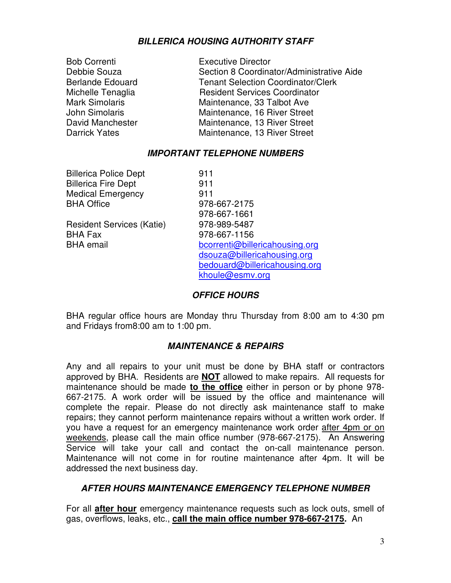#### **BILLERICA HOUSING AUTHORITY STAFF**

| <b>Bob Correnti</b>     | <b>Executive Director</b>                 |
|-------------------------|-------------------------------------------|
| Debbie Souza            | Section 8 Coordinator/Administrative Aide |
| <b>Berlande Edouard</b> | <b>Tenant Selection Coordinator/Clerk</b> |
| Michelle Tenaglia       | <b>Resident Services Coordinator</b>      |
| <b>Mark Simolaris</b>   | Maintenance, 33 Talbot Ave                |
| John Simolaris          | Maintenance, 16 River Street              |
| David Manchester        | Maintenance, 13 River Street              |
| <b>Darrick Yates</b>    | Maintenance, 13 River Street              |
|                         |                                           |

#### **IMPORTANT TELEPHONE NUMBERS**

Billerica Police Dept 911 Billerica Fire Dept 911 Medical Emergency 911 BHA Office 978-667-2175

Resident Services (Katie) 978-989-5487 BHA Fax 978-667-1156

 978-667-1661 BHA email bcorrenti@billericahousing.org dsouza@billericahousing.org bedouard@billericahousing.org khoule@esmv.org

#### **OFFICE HOURS**

BHA regular office hours are Monday thru Thursday from 8:00 am to 4:30 pm and Fridays from8:00 am to 1:00 pm.

#### **MAINTENANCE & REPAIRS**

Any and all repairs to your unit must be done by BHA staff or contractors approved by BHA. Residents are **NOT** allowed to make repairs. All requests for maintenance should be made **to the office** either in person or by phone 978- 667-2175. A work order will be issued by the office and maintenance will complete the repair. Please do not directly ask maintenance staff to make repairs; they cannot perform maintenance repairs without a written work order. If you have a request for an emergency maintenance work order after 4pm or on weekends, please call the main office number (978-667-2175). An Answering Service will take your call and contact the on-call maintenance person. Maintenance will not come in for routine maintenance after 4pm. It will be addressed the next business day.

#### **AFTER HOURS MAINTENANCE EMERGENCY TELEPHONE NUMBER**

For all **after hour** emergency maintenance requests such as lock outs, smell of gas, overflows, leaks, etc., **call the main office number 978-667-2175.** An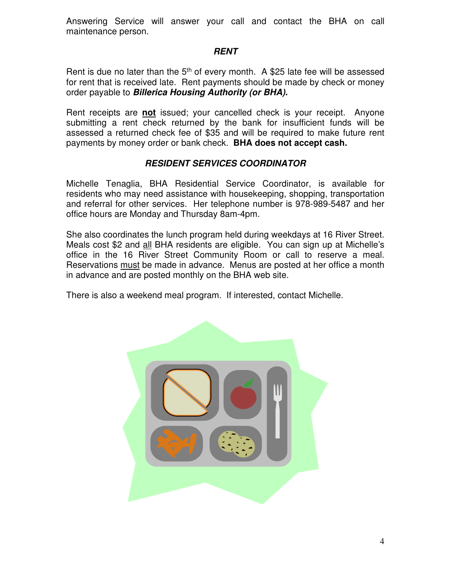Answering Service will answer your call and contact the BHA on call maintenance person.

#### **RENT**

Rent is due no later than the  $5<sup>th</sup>$  of every month. A \$25 late fee will be assessed for rent that is received late. Rent payments should be made by check or money order payable to **Billerica Housing Authority (or BHA).** 

Rent receipts are **not** issued; your cancelled check is your receipt. Anyone submitting a rent check returned by the bank for insufficient funds will be assessed a returned check fee of \$35 and will be required to make future rent payments by money order or bank check. **BHA does not accept cash.**

#### **RESIDENT SERVICES COORDINATOR**

Michelle Tenaglia, BHA Residential Service Coordinator, is available for residents who may need assistance with housekeeping, shopping, transportation and referral for other services. Her telephone number is 978-989-5487 and her office hours are Monday and Thursday 8am-4pm.

She also coordinates the lunch program held during weekdays at 16 River Street. Meals cost \$2 and all BHA residents are eligible. You can sign up at Michelle's office in the 16 River Street Community Room or call to reserve a meal. Reservations must be made in advance. Menus are posted at her office a month in advance and are posted monthly on the BHA web site.

There is also a weekend meal program. If interested, contact Michelle.

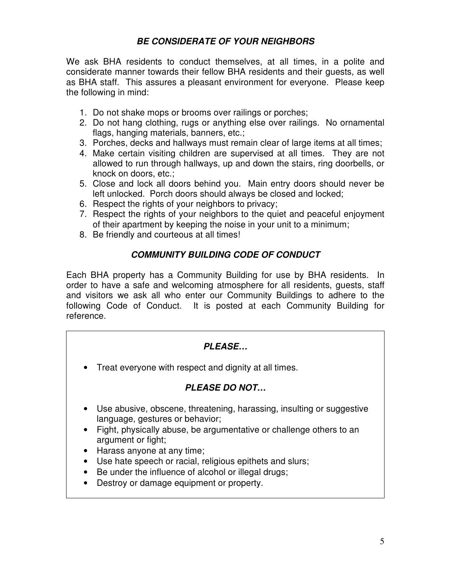#### **BE CONSIDERATE OF YOUR NEIGHBORS**

We ask BHA residents to conduct themselves, at all times, in a polite and considerate manner towards their fellow BHA residents and their guests, as well as BHA staff. This assures a pleasant environment for everyone. Please keep the following in mind:

- 1. Do not shake mops or brooms over railings or porches;
- 2. Do not hang clothing, rugs or anything else over railings. No ornamental flags, hanging materials, banners, etc.;
- 3. Porches, decks and hallways must remain clear of large items at all times;
- 4. Make certain visiting children are supervised at all times. They are not allowed to run through hallways, up and down the stairs, ring doorbells, or knock on doors, etc.;
- 5. Close and lock all doors behind you. Main entry doors should never be left unlocked. Porch doors should always be closed and locked;
- 6. Respect the rights of your neighbors to privacy;
- 7. Respect the rights of your neighbors to the quiet and peaceful enjoyment of their apartment by keeping the noise in your unit to a minimum;
- 8. Be friendly and courteous at all times!

#### **COMMUNITY BUILDING CODE OF CONDUCT**

Each BHA property has a Community Building for use by BHA residents. In order to have a safe and welcoming atmosphere for all residents, guests, staff and visitors we ask all who enter our Community Buildings to adhere to the following Code of Conduct. It is posted at each Community Building for reference.

#### **PLEASE…**

• Treat everyone with respect and dignity at all times.

#### **PLEASE DO NOT…**

- Use abusive, obscene, threatening, harassing, insulting or suggestive language, gestures or behavior;
- Fight, physically abuse, be argumentative or challenge others to an argument or fight;
- Harass anyone at any time;
- Use hate speech or racial, religious epithets and slurs;
- Be under the influence of alcohol or illegal drugs;
- Destroy or damage equipment or property.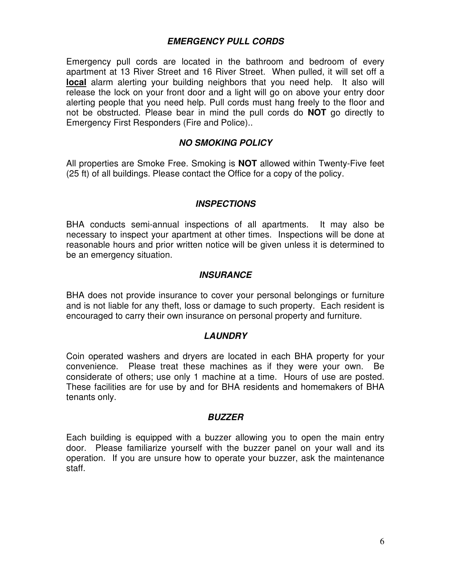#### **EMERGENCY PULL CORDS**

Emergency pull cords are located in the bathroom and bedroom of every apartment at 13 River Street and 16 River Street. When pulled, it will set off a **local** alarm alerting your building neighbors that you need help. It also will release the lock on your front door and a light will go on above your entry door alerting people that you need help. Pull cords must hang freely to the floor and not be obstructed. Please bear in mind the pull cords do **NOT** go directly to Emergency First Responders (Fire and Police)..

#### **NO SMOKING POLICY**

All properties are Smoke Free. Smoking is **NOT** allowed within Twenty-Five feet (25 ft) of all buildings. Please contact the Office for a copy of the policy.

#### **INSPECTIONS**

BHA conducts semi-annual inspections of all apartments. It may also be necessary to inspect your apartment at other times. Inspections will be done at reasonable hours and prior written notice will be given unless it is determined to be an emergency situation.

#### **INSURANCE**

BHA does not provide insurance to cover your personal belongings or furniture and is not liable for any theft, loss or damage to such property. Each resident is encouraged to carry their own insurance on personal property and furniture.

#### **LAUNDRY**

Coin operated washers and dryers are located in each BHA property for your convenience. Please treat these machines as if they were your own. Be considerate of others; use only 1 machine at a time. Hours of use are posted. These facilities are for use by and for BHA residents and homemakers of BHA tenants only.

#### **BUZZER**

Each building is equipped with a buzzer allowing you to open the main entry door. Please familiarize yourself with the buzzer panel on your wall and its operation. If you are unsure how to operate your buzzer, ask the maintenance staff.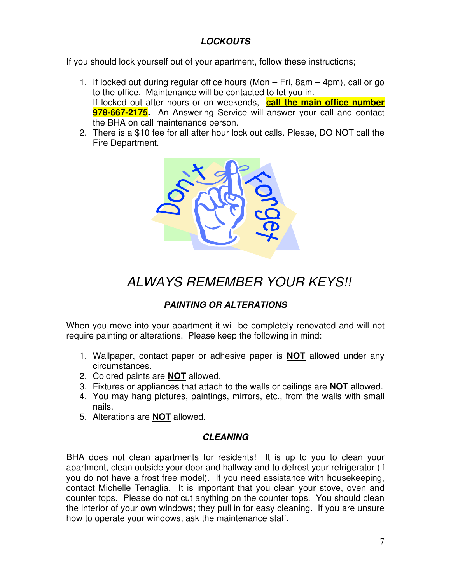#### **LOCKOUTS**

If you should lock yourself out of your apartment, follow these instructions;

- 1. If locked out during regular office hours (Mon Fri, 8am 4pm), call or go to the office. Maintenance will be contacted to let you in. If locked out after hours or on weekends, **call the main office number 978-667-2175.** An Answering Service will answer your call and contact the BHA on call maintenance person.
- 2. There is a \$10 fee for all after hour lock out calls. Please, DO NOT call the Fire Department.



### ALWAYS REMEMBER YOUR KEYS!!

#### **PAINTING OR ALTERATIONS**

When you move into your apartment it will be completely renovated and will not require painting or alterations. Please keep the following in mind:

- 1. Wallpaper, contact paper or adhesive paper is **NOT** allowed under any circumstances.
- 2. Colored paints are **NOT** allowed.
- 3. Fixtures or appliances that attach to the walls or ceilings are **NOT** allowed.
- 4. You may hang pictures, paintings, mirrors, etc., from the walls with small nails.
- 5. Alterations are **NOT** allowed.

#### **CLEANING**

BHA does not clean apartments for residents! It is up to you to clean your apartment, clean outside your door and hallway and to defrost your refrigerator (if you do not have a frost free model). If you need assistance with housekeeping, contact Michelle Tenaglia. It is important that you clean your stove, oven and counter tops. Please do not cut anything on the counter tops. You should clean the interior of your own windows; they pull in for easy cleaning. If you are unsure how to operate your windows, ask the maintenance staff.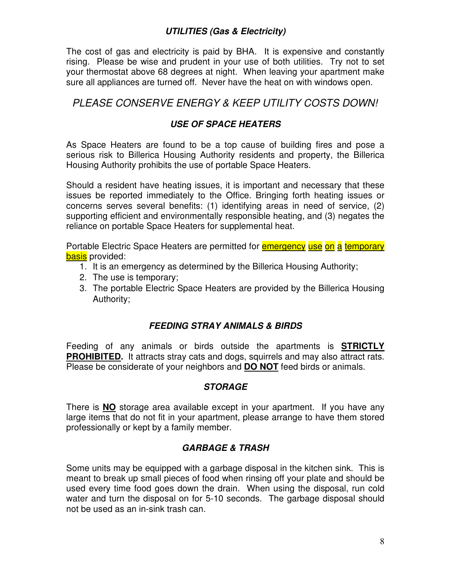#### **UTILITIES (Gas & Electricity)**

The cost of gas and electricity is paid by BHA. It is expensive and constantly rising. Please be wise and prudent in your use of both utilities. Try not to set your thermostat above 68 degrees at night. When leaving your apartment make sure all appliances are turned off. Never have the heat on with windows open.

#### PLEASE CONSERVE ENERGY & KEEP UTILITY COSTS DOWN!

#### **USE OF SPACE HEATERS**

As Space Heaters are found to be a top cause of building fires and pose a serious risk to Billerica Housing Authority residents and property, the Billerica Housing Authority prohibits the use of portable Space Heaters.

Should a resident have heating issues, it is important and necessary that these issues be reported immediately to the Office. Bringing forth heating issues or concerns serves several benefits: (1) identifying areas in need of service, (2) supporting efficient and environmentally responsible heating, and (3) negates the reliance on portable Space Heaters for supplemental heat.

Portable Electric Space Heaters are permitted for **emergency use on a temporary** basis provided:

- 1. It is an emergency as determined by the Billerica Housing Authority;
- 2. The use is temporary;
- 3. The portable Electric Space Heaters are provided by the Billerica Housing Authority;

#### **FEEDING STRAY ANIMALS & BIRDS**

Feeding of any animals or birds outside the apartments is **STRICTLY PROHIBITED.** It attracts stray cats and dogs, squirrels and may also attract rats. Please be considerate of your neighbors and **DO NOT** feed birds or animals.

#### **STORAGE**

There is **NO** storage area available except in your apartment. If you have any large items that do not fit in your apartment, please arrange to have them stored professionally or kept by a family member.

#### **GARBAGE & TRASH**

Some units may be equipped with a garbage disposal in the kitchen sink. This is meant to break up small pieces of food when rinsing off your plate and should be used every time food goes down the drain. When using the disposal, run cold water and turn the disposal on for 5-10 seconds. The garbage disposal should not be used as an in-sink trash can.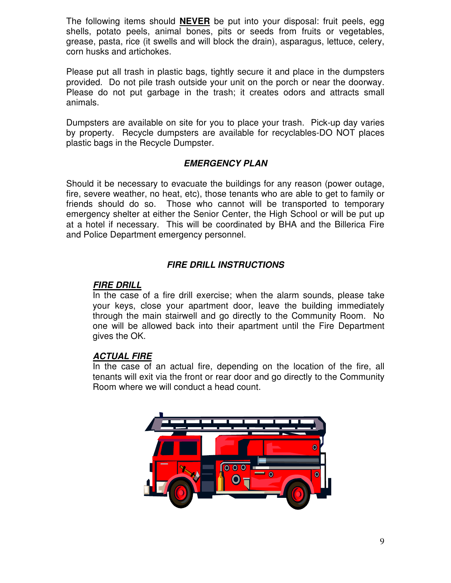The following items should **NEVER** be put into your disposal: fruit peels, egg shells, potato peels, animal bones, pits or seeds from fruits or vegetables, grease, pasta, rice (it swells and will block the drain), asparagus, lettuce, celery, corn husks and artichokes.

Please put all trash in plastic bags, tightly secure it and place in the dumpsters provided. Do not pile trash outside your unit on the porch or near the doorway. Please do not put garbage in the trash; it creates odors and attracts small animals.

Dumpsters are available on site for you to place your trash. Pick-up day varies by property. Recycle dumpsters are available for recyclables-DO NOT places plastic bags in the Recycle Dumpster.

#### **EMERGENCY PLAN**

Should it be necessary to evacuate the buildings for any reason (power outage, fire, severe weather, no heat, etc), those tenants who are able to get to family or friends should do so. Those who cannot will be transported to temporary emergency shelter at either the Senior Center, the High School or will be put up at a hotel if necessary. This will be coordinated by BHA and the Billerica Fire and Police Department emergency personnel.

#### **FIRE DRILL INSTRUCTIONS**

#### **FIRE DRILL**

In the case of a fire drill exercise; when the alarm sounds, please take your keys, close your apartment door, leave the building immediately through the main stairwell and go directly to the Community Room. No one will be allowed back into their apartment until the Fire Department gives the OK.

#### **ACTUAL FIRE**

In the case of an actual fire, depending on the location of the fire, all tenants will exit via the front or rear door and go directly to the Community Room where we will conduct a head count.

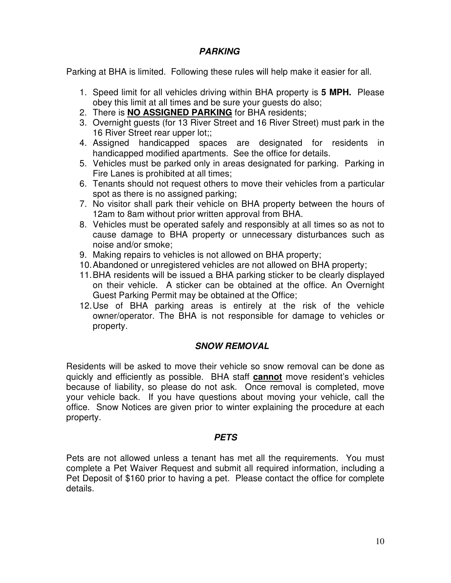#### **PARKING**

Parking at BHA is limited. Following these rules will help make it easier for all.

- 1. Speed limit for all vehicles driving within BHA property is **5 MPH.** Please obey this limit at all times and be sure your guests do also;
- 2. There is **NO ASSIGNED PARKING** for BHA residents;
- 3. Overnight guests (for 13 River Street and 16 River Street) must park in the 16 River Street rear upper lot;;
- 4. Assigned handicapped spaces are designated for residents in handicapped modified apartments. See the office for details.
- 5. Vehicles must be parked only in areas designated for parking. Parking in Fire Lanes is prohibited at all times;
- 6. Tenants should not request others to move their vehicles from a particular spot as there is no assigned parking;
- 7. No visitor shall park their vehicle on BHA property between the hours of 12am to 8am without prior written approval from BHA.
- 8. Vehicles must be operated safely and responsibly at all times so as not to cause damage to BHA property or unnecessary disturbances such as noise and/or smoke;
- 9. Making repairs to vehicles is not allowed on BHA property;
- 10. Abandoned or unregistered vehicles are not allowed on BHA property;
- 11. BHA residents will be issued a BHA parking sticker to be clearly displayed on their vehicle. A sticker can be obtained at the office. An Overnight Guest Parking Permit may be obtained at the Office;
- 12. Use of BHA parking areas is entirely at the risk of the vehicle owner/operator. The BHA is not responsible for damage to vehicles or property.

#### **SNOW REMOVAL**

Residents will be asked to move their vehicle so snow removal can be done as quickly and efficiently as possible. BHA staff **cannot** move resident's vehicles because of liability, so please do not ask. Once removal is completed, move your vehicle back. If you have questions about moving your vehicle, call the office. Snow Notices are given prior to winter explaining the procedure at each property.

#### **PETS**

Pets are not allowed unless a tenant has met all the requirements. You must complete a Pet Waiver Request and submit all required information, including a Pet Deposit of \$160 prior to having a pet. Please contact the office for complete details.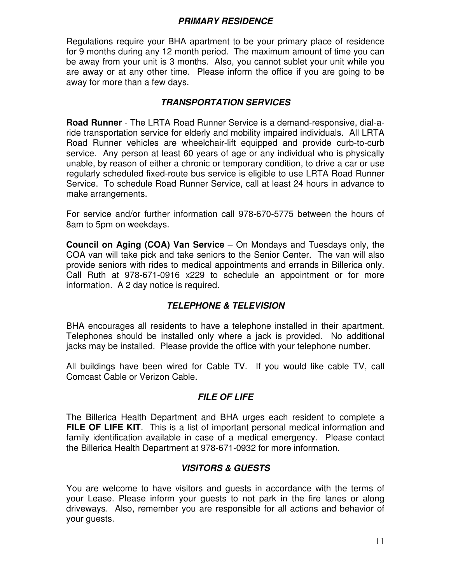#### **PRIMARY RESIDENCE**

Regulations require your BHA apartment to be your primary place of residence for 9 months during any 12 month period. The maximum amount of time you can be away from your unit is 3 months. Also, you cannot sublet your unit while you are away or at any other time. Please inform the office if you are going to be away for more than a few days.

#### **TRANSPORTATION SERVICES**

**Road Runner** - The LRTA Road Runner Service is a demand-responsive, dial-aride transportation service for elderly and mobility impaired individuals. All LRTA Road Runner vehicles are wheelchair-lift equipped and provide curb-to-curb service. Any person at least 60 years of age or any individual who is physically unable, by reason of either a chronic or temporary condition, to drive a car or use regularly scheduled fixed-route bus service is eligible to use LRTA Road Runner Service. To schedule Road Runner Service, call at least 24 hours in advance to make arrangements.

For service and/or further information call 978-670-5775 between the hours of 8am to 5pm on weekdays.

**Council on Aging (COA) Van Service** – On Mondays and Tuesdays only, the COA van will take pick and take seniors to the Senior Center. The van will also provide seniors with rides to medical appointments and errands in Billerica only. Call Ruth at 978-671-0916 x229 to schedule an appointment or for more information. A 2 day notice is required.

#### **TELEPHONE & TELEVISION**

BHA encourages all residents to have a telephone installed in their apartment. Telephones should be installed only where a jack is provided. No additional jacks may be installed. Please provide the office with your telephone number.

All buildings have been wired for Cable TV. If you would like cable TV, call Comcast Cable or Verizon Cable.

#### **FILE OF LIFE**

The Billerica Health Department and BHA urges each resident to complete a **FILE OF LIFE KIT.** This is a list of important personal medical information and family identification available in case of a medical emergency. Please contact the Billerica Health Department at 978-671-0932 for more information.

#### **VISITORS & GUESTS**

You are welcome to have visitors and guests in accordance with the terms of your Lease. Please inform your guests to not park in the fire lanes or along driveways. Also, remember you are responsible for all actions and behavior of your guests.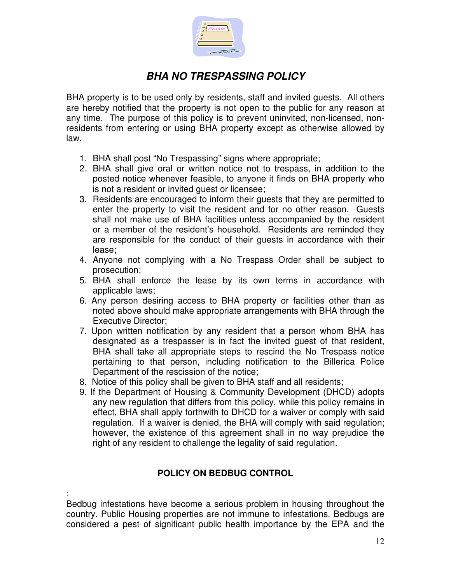

#### **BHA NO TRESPASSING POLICY**

BHA property is to be used only by residents, staff and invited guests. All others are hereby notified that the property is not open to the public for any reason at any time. The purpose of this policy is to prevent uninvited, non-licensed, nonresidents from entering or using BHA property except as otherwise allowed by law.

- 1. BHA shall post "No Trespassing" signs where appropriate;
- 2. BHA shall give oral or written notice not to trespass, in addition to the posted notice whenever feasible, to anyone it finds on BHA property who is not a resident or invited guest or licensee;
- 3. Residents are encouraged to inform their guests that they are permitted to enter the property to visit the resident and for no other reason. Guests shall not make use of BHA facilities unless accompanied by the resident or a member of the resident's household. Residents are reminded they are responsible for the conduct of their guests in accordance with their lease;
- 4. Anyone not complying with a No Trespass Order shall be subject to prosecution;
- 5. BHA shall enforce the lease by its own terms in accordance with applicable laws;
- 6. Any person desiring access to BHA property or facilities other than as noted above should make appropriate arrangements with BHA through the Executive Director;
- 7. Upon written notification by any resident that a person whom BHA has designated as a trespasser is in fact the invited guest of that resident, BHA shall take all appropriate steps to rescind the No Trespass notice pertaining to that person, including notification to the Billerica Police Department of the rescission of the notice;
- 8. Notice of this policy shall be given to BHA staff and all residents;
- 9. If the Department of Housing & Community Development (DHCD) adopts any new regulation that differs from this policy, while this policy remains in effect, BHA shall apply forthwith to DHCD for a waiver or comply with said regulation. If a waiver is denied, the BHA will comply with said regulation; however, the existence of this agreement shall in no way prejudice the right of any resident to challenge the legality of said regulation.

#### **POLICY ON BEDBUG CONTROL**

: Bedbug infestations have become a serious problem in housing throughout the country. Public Housing properties are not immune to infestations. Bedbugs are considered a pest of significant public health importance by the EPA and the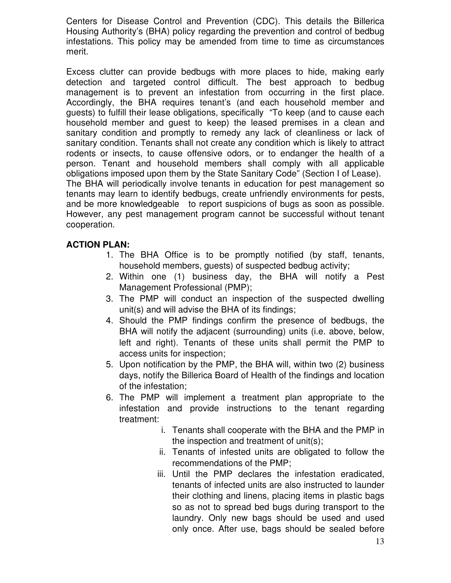Centers for Disease Control and Prevention (CDC). This details the Billerica Housing Authority's (BHA) policy regarding the prevention and control of bedbug infestations. This policy may be amended from time to time as circumstances merit.

Excess clutter can provide bedbugs with more places to hide, making early detection and targeted control difficult. The best approach to bedbug management is to prevent an infestation from occurring in the first place. Accordingly, the BHA requires tenant's (and each household member and guests) to fulfill their lease obligations, specifically "To keep (and to cause each household member and guest to keep) the leased premises in a clean and sanitary condition and promptly to remedy any lack of cleanliness or lack of sanitary condition. Tenants shall not create any condition which is likely to attract rodents or insects, to cause offensive odors, or to endanger the health of a person. Tenant and household members shall comply with all applicable obligations imposed upon them by the State Sanitary Code" (Section I of Lease). The BHA will periodically involve tenants in education for pest management so tenants may learn to identify bedbugs, create unfriendly environments for pests, and be more knowledgeable to report suspicions of bugs as soon as possible. However, any pest management program cannot be successful without tenant cooperation.

#### **ACTION PLAN:**

- 1. The BHA Office is to be promptly notified (by staff, tenants, household members, guests) of suspected bedbug activity;
- 2. Within one (1) business day, the BHA will notify a Pest Management Professional (PMP);
- 3. The PMP will conduct an inspection of the suspected dwelling unit(s) and will advise the BHA of its findings;
- 4. Should the PMP findings confirm the presence of bedbugs, the BHA will notify the adjacent (surrounding) units (i.e. above, below, left and right). Tenants of these units shall permit the PMP to access units for inspection;
- 5. Upon notification by the PMP, the BHA will, within two (2) business days, notify the Billerica Board of Health of the findings and location of the infestation;
- 6. The PMP will implement a treatment plan appropriate to the infestation and provide instructions to the tenant regarding treatment:
	- i. Tenants shall cooperate with the BHA and the PMP in the inspection and treatment of unit(s);
	- ii. Tenants of infested units are obligated to follow the recommendations of the PMP;
	- iii. Until the PMP declares the infestation eradicated, tenants of infected units are also instructed to launder their clothing and linens, placing items in plastic bags so as not to spread bed bugs during transport to the laundry. Only new bags should be used and used only once. After use, bags should be sealed before